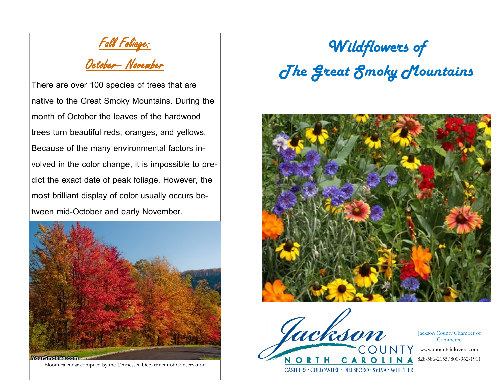Fall Foliage:

## October– November

There are over 100 species of trees that are native to the Great Smoky Mountains. During the month of October the leaves of the hardwood trees turn beautiful reds, oranges, and yellows. Because of the many environmental factors involved in the color change, it is impossible to predict the exact date of peak foliage. However, the most brilliant display of color usually occurs between mid-October and early November.



Bloom calendar compiled by the Tennessee Department of Conservation

*Wildflowers of The Great Smoky Mountains*





Jackson County Chamber of **Commerce** 

www.mountainlovers.com

828-586-2155/800-962-1911